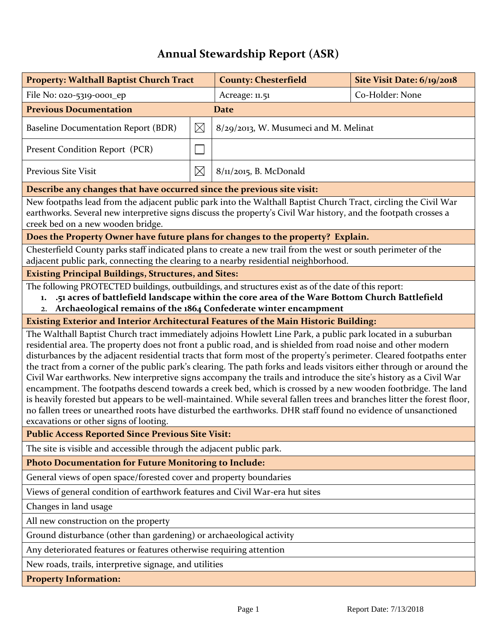## **Annual Stewardship Report (ASR)**

| <b>Property: Walthall Baptist Church Tract</b>                                                                                                                                                                                                                                                                                                                                                                                                                                                                                                                                                                                                                                                                                                                                                                                                                                                                                                                                                           |             | <b>County: Chesterfield</b>           | Site Visit Date: 6/19/2018 |  |
|----------------------------------------------------------------------------------------------------------------------------------------------------------------------------------------------------------------------------------------------------------------------------------------------------------------------------------------------------------------------------------------------------------------------------------------------------------------------------------------------------------------------------------------------------------------------------------------------------------------------------------------------------------------------------------------------------------------------------------------------------------------------------------------------------------------------------------------------------------------------------------------------------------------------------------------------------------------------------------------------------------|-------------|---------------------------------------|----------------------------|--|
| File No: 020-5319-0001_ep                                                                                                                                                                                                                                                                                                                                                                                                                                                                                                                                                                                                                                                                                                                                                                                                                                                                                                                                                                                |             | Acreage: 11.51                        | Co-Holder: None            |  |
| <b>Previous Documentation</b>                                                                                                                                                                                                                                                                                                                                                                                                                                                                                                                                                                                                                                                                                                                                                                                                                                                                                                                                                                            |             | <b>Date</b>                           |                            |  |
| Baseline Documentation Report (BDR)                                                                                                                                                                                                                                                                                                                                                                                                                                                                                                                                                                                                                                                                                                                                                                                                                                                                                                                                                                      | $\boxtimes$ | 8/29/2013, W. Musumeci and M. Melinat |                            |  |
| Present Condition Report (PCR)                                                                                                                                                                                                                                                                                                                                                                                                                                                                                                                                                                                                                                                                                                                                                                                                                                                                                                                                                                           |             |                                       |                            |  |
| Previous Site Visit<br>$\boxtimes$                                                                                                                                                                                                                                                                                                                                                                                                                                                                                                                                                                                                                                                                                                                                                                                                                                                                                                                                                                       |             | $8/\pi/2$ 015, B. McDonald            |                            |  |
| Describe any changes that have occurred since the previous site visit:                                                                                                                                                                                                                                                                                                                                                                                                                                                                                                                                                                                                                                                                                                                                                                                                                                                                                                                                   |             |                                       |                            |  |
| New footpaths lead from the adjacent public park into the Walthall Baptist Church Tract, circling the Civil War<br>earthworks. Several new interpretive signs discuss the property's Civil War history, and the footpath crosses a<br>creek bed on a new wooden bridge.                                                                                                                                                                                                                                                                                                                                                                                                                                                                                                                                                                                                                                                                                                                                  |             |                                       |                            |  |
| Does the Property Owner have future plans for changes to the property? Explain.                                                                                                                                                                                                                                                                                                                                                                                                                                                                                                                                                                                                                                                                                                                                                                                                                                                                                                                          |             |                                       |                            |  |
| Chesterfield County parks staff indicated plans to create a new trail from the west or south perimeter of the<br>adjacent public park, connecting the clearing to a nearby residential neighborhood.                                                                                                                                                                                                                                                                                                                                                                                                                                                                                                                                                                                                                                                                                                                                                                                                     |             |                                       |                            |  |
| <b>Existing Principal Buildings, Structures, and Sites:</b>                                                                                                                                                                                                                                                                                                                                                                                                                                                                                                                                                                                                                                                                                                                                                                                                                                                                                                                                              |             |                                       |                            |  |
| The following PROTECTED buildings, outbuildings, and structures exist as of the date of this report:<br>.51 acres of battlefield landscape within the core area of the Ware Bottom Church Battlefield<br>1.<br>Archaeological remains of the 1864 Confederate winter encampment<br>2.                                                                                                                                                                                                                                                                                                                                                                                                                                                                                                                                                                                                                                                                                                                    |             |                                       |                            |  |
| Existing Exterior and Interior Architectural Features of the Main Historic Building:                                                                                                                                                                                                                                                                                                                                                                                                                                                                                                                                                                                                                                                                                                                                                                                                                                                                                                                     |             |                                       |                            |  |
| The Walthall Baptist Church tract immediately adjoins Howlett Line Park, a public park located in a suburban<br>residential area. The property does not front a public road, and is shielded from road noise and other modern<br>disturbances by the adjacent residential tracts that form most of the property's perimeter. Cleared footpaths enter<br>the tract from a corner of the public park's clearing. The path forks and leads visitors either through or around the<br>Civil War earthworks. New interpretive signs accompany the trails and introduce the site's history as a Civil War<br>encampment. The footpaths descend towards a creek bed, which is crossed by a new wooden footbridge. The land<br>is heavily forested but appears to be well-maintained. While several fallen trees and branches litter the forest floor,<br>no fallen trees or unearthed roots have disturbed the earthworks. DHR staff found no evidence of unsanctioned<br>excavations or other signs of looting. |             |                                       |                            |  |
| <b>Public Access Reported Since Previous Site Visit:</b>                                                                                                                                                                                                                                                                                                                                                                                                                                                                                                                                                                                                                                                                                                                                                                                                                                                                                                                                                 |             |                                       |                            |  |
| The site is visible and accessible through the adjacent public park.                                                                                                                                                                                                                                                                                                                                                                                                                                                                                                                                                                                                                                                                                                                                                                                                                                                                                                                                     |             |                                       |                            |  |
| <b>Photo Documentation for Future Monitoring to Include:</b>                                                                                                                                                                                                                                                                                                                                                                                                                                                                                                                                                                                                                                                                                                                                                                                                                                                                                                                                             |             |                                       |                            |  |
| General views of open space/forested cover and property boundaries                                                                                                                                                                                                                                                                                                                                                                                                                                                                                                                                                                                                                                                                                                                                                                                                                                                                                                                                       |             |                                       |                            |  |
| Views of general condition of earthwork features and Civil War-era hut sites                                                                                                                                                                                                                                                                                                                                                                                                                                                                                                                                                                                                                                                                                                                                                                                                                                                                                                                             |             |                                       |                            |  |
| Changes in land usage                                                                                                                                                                                                                                                                                                                                                                                                                                                                                                                                                                                                                                                                                                                                                                                                                                                                                                                                                                                    |             |                                       |                            |  |
| All new construction on the property                                                                                                                                                                                                                                                                                                                                                                                                                                                                                                                                                                                                                                                                                                                                                                                                                                                                                                                                                                     |             |                                       |                            |  |
| Ground disturbance (other than gardening) or archaeological activity                                                                                                                                                                                                                                                                                                                                                                                                                                                                                                                                                                                                                                                                                                                                                                                                                                                                                                                                     |             |                                       |                            |  |
| Any deteriorated features or features otherwise requiring attention                                                                                                                                                                                                                                                                                                                                                                                                                                                                                                                                                                                                                                                                                                                                                                                                                                                                                                                                      |             |                                       |                            |  |
| New roads, trails, interpretive signage, and utilities                                                                                                                                                                                                                                                                                                                                                                                                                                                                                                                                                                                                                                                                                                                                                                                                                                                                                                                                                   |             |                                       |                            |  |
| <b>Property Information:</b>                                                                                                                                                                                                                                                                                                                                                                                                                                                                                                                                                                                                                                                                                                                                                                                                                                                                                                                                                                             |             |                                       |                            |  |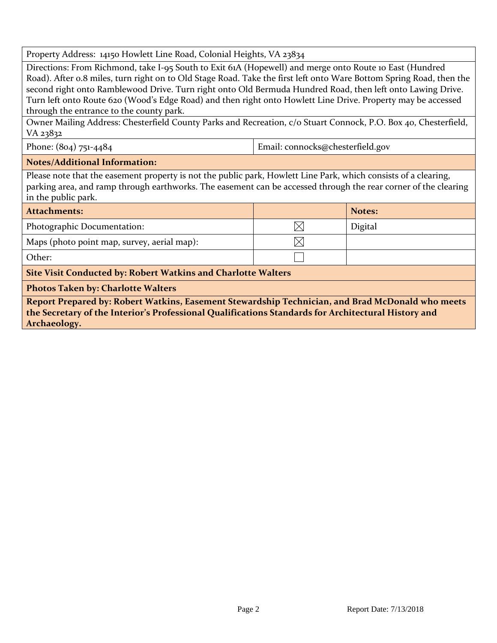Property Address: 14150 Howlett Line Road, Colonial Heights, VA 23834

Directions: From Richmond, take I-95 South to Exit 61A (Hopewell) and merge onto Route 10 East (Hundred Road). After 0.8 miles, turn right on to Old Stage Road. Take the first left onto Ware Bottom Spring Road, then the second right onto Ramblewood Drive. Turn right onto Old Bermuda Hundred Road, then left onto Lawing Drive. Turn left onto Route 620 (Wood's Edge Road) and then right onto Howlett Line Drive. Property may be accessed through the entrance to the county park.

Owner Mailing Address: Chesterfield County Parks and Recreation, c/o Stuart Connock, P.O. Box 40, Chesterfield, VA 23832

Phone: (804) 751-4484 **Email: connocks@chesterfield.gov** 

## **Notes/Additional Information:**

Please note that the easement property is not the public park, Howlett Line Park, which consists of a clearing, parking area, and ramp through earthworks. The easement can be accessed through the rear corner of the clearing in the public park.

| Attachments:                                                         |  | Notes:  |  |  |
|----------------------------------------------------------------------|--|---------|--|--|
| Photographic Documentation:                                          |  | Digital |  |  |
| Maps (photo point map, survey, aerial map):                          |  |         |  |  |
| Other:                                                               |  |         |  |  |
| <b>Site Visit Conducted by: Robert Watkins and Charlotte Walters</b> |  |         |  |  |

**Photos Taken by: Charlotte Walters**

**Report Prepared by: Robert Watkins, Easement Stewardship Technician, and Brad McDonald who meets the Secretary of the Interior's Professional Qualifications Standards for Architectural History and Archaeology.**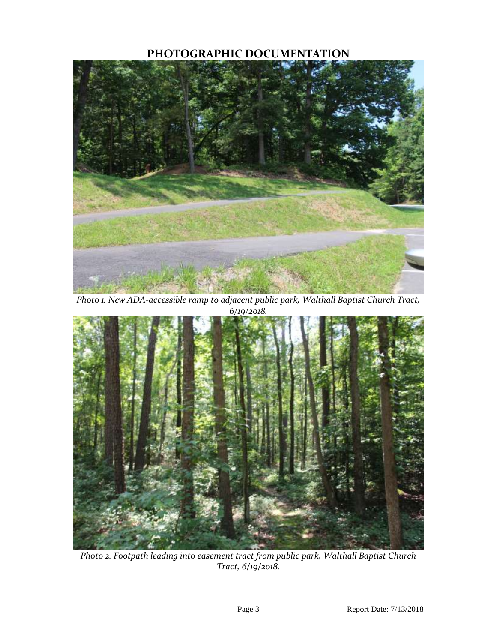## **PHOTOGRAPHIC DOCUMENTATION**



*Photo 1. New ADA-accessible ramp to adjacent public park, Walthall Baptist Church Tract, 6/19/2018.*



*Photo 2. Footpath leading into easement tract from public park, Walthall Baptist Church Tract, 6/19/2018.*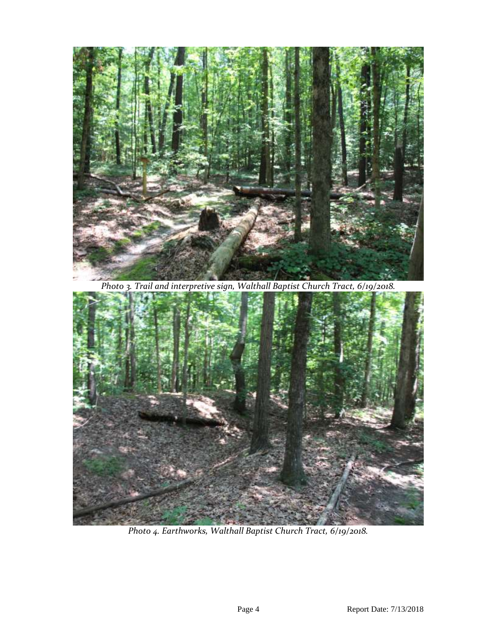

*Photo 3. Trail and interpretive sign, Walthall Baptist Church Tract, 6/19/2018.*



*Photo 4. Earthworks, Walthall Baptist Church Tract, 6/19/2018.*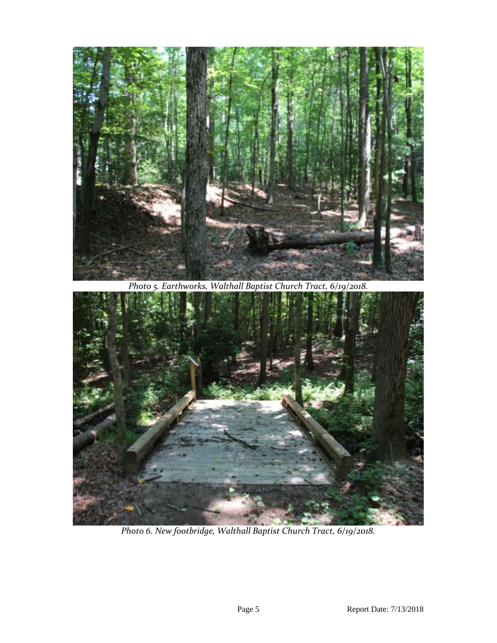

*Photo 5. Earthworks, Walthall Baptist Church Tract, 6/19/2018.*



*Photo 6. New footbridge, Walthall Baptist Church Tract, 6/19/2018.*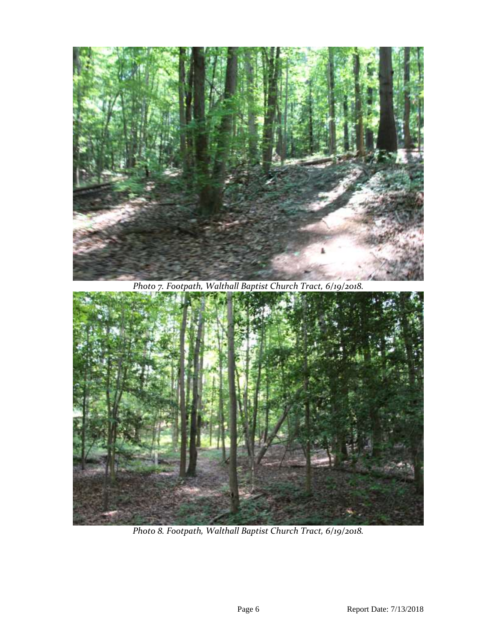

*Photo 7. Footpath, Walthall Baptist Church Tract, 6/19/2018.*



*Photo 8. Footpath, Walthall Baptist Church Tract, 6/19/2018.*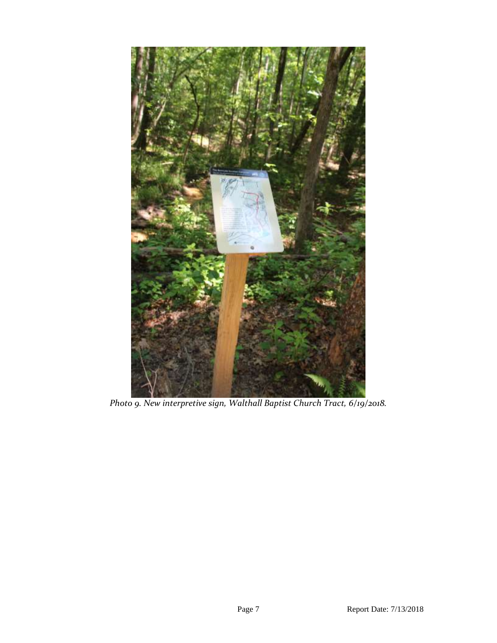

*Photo 9. New interpretive sign, Walthall Baptist Church Tract, 6/19/2018.*